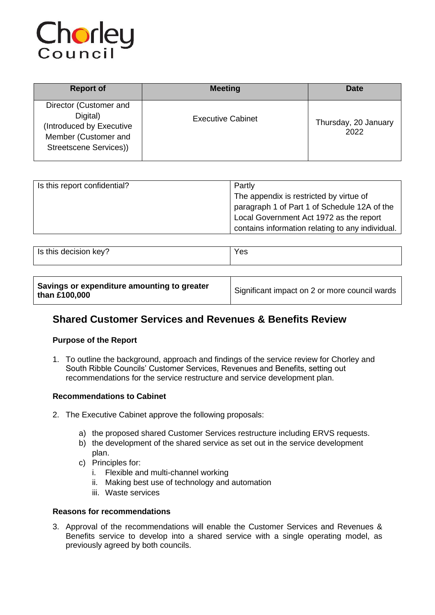

| <b>Report of</b>                                                                                                 | <b>Meeting</b>           | Date                         |
|------------------------------------------------------------------------------------------------------------------|--------------------------|------------------------------|
| Director (Customer and<br>Digital)<br>(Introduced by Executive<br>Member (Customer and<br>Streetscene Services)) | <b>Executive Cabinet</b> | Thursday, 20 January<br>2022 |

| Is this report confidential? | Partly                                           |  |
|------------------------------|--------------------------------------------------|--|
|                              | The appendix is restricted by virtue of          |  |
|                              | paragraph 1 of Part 1 of Schedule 12A of the     |  |
|                              | Local Government Act 1972 as the report          |  |
|                              | contains information relating to any individual. |  |

| dooininn<br>kev'<br>this decision<br>ن ا | ౚ |
|------------------------------------------|---|
|------------------------------------------|---|

# **Shared Customer Services and Revenues & Benefits Review**

# **Purpose of the Report**

1. To outline the background, approach and findings of the service review for Chorley and South Ribble Councils' Customer Services, Revenues and Benefits, setting out recommendations for the service restructure and service development plan.

# **Recommendations to Cabinet**

- 2. The Executive Cabinet approve the following proposals:
	- a) the proposed shared Customer Services restructure including ERVS requests.
	- b) the development of the shared service as set out in the service development plan.
	- c) Principles for:
		- i. Flexible and multi-channel working
		- ii. Making best use of technology and automation
		- iii. Waste services

# **Reasons for recommendations**

3. Approval of the recommendations will enable the Customer Services and Revenues & Benefits service to develop into a shared service with a single operating model, as previously agreed by both councils.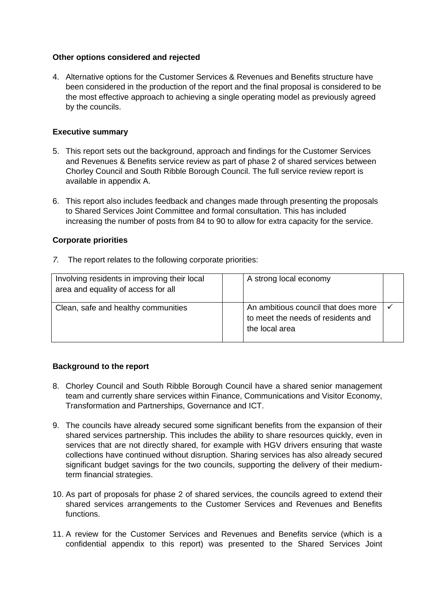# **Other options considered and rejected**

4. Alternative options for the Customer Services & Revenues and Benefits structure have been considered in the production of the report and the final proposal is considered to be the most effective approach to achieving a single operating model as previously agreed by the councils.

# **Executive summary**

- 5. This report sets out the background, approach and findings for the Customer Services and Revenues & Benefits service review as part of phase 2 of shared services between Chorley Council and South Ribble Borough Council. The full service review report is available in appendix A.
- 6. This report also includes feedback and changes made through presenting the proposals to Shared Services Joint Committee and formal consultation. This has included increasing the number of posts from 84 to 90 to allow for extra capacity for the service.

# **Corporate priorities**

*7.* The report relates to the following corporate priorities:

| Involving residents in improving their local<br>area and equality of access for all | A strong local economy                                                                      |  |
|-------------------------------------------------------------------------------------|---------------------------------------------------------------------------------------------|--|
| Clean, safe and healthy communities                                                 | An ambitious council that does more<br>to meet the needs of residents and<br>the local area |  |

# **Background to the report**

- 8. Chorley Council and South Ribble Borough Council have a shared senior management team and currently share services within Finance, Communications and Visitor Economy, Transformation and Partnerships, Governance and ICT.
- 9. The councils have already secured some significant benefits from the expansion of their shared services partnership. This includes the ability to share resources quickly, even in services that are not directly shared, for example with HGV drivers ensuring that waste collections have continued without disruption. Sharing services has also already secured significant budget savings for the two councils, supporting the delivery of their mediumterm financial strategies.
- 10. As part of proposals for phase 2 of shared services, the councils agreed to extend their shared services arrangements to the Customer Services and Revenues and Benefits functions.
- 11. A review for the Customer Services and Revenues and Benefits service (which is a confidential appendix to this report) was presented to the Shared Services Joint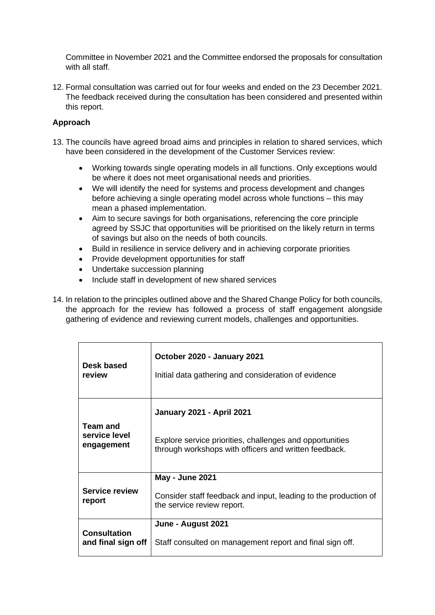Committee in November 2021 and the Committee endorsed the proposals for consultation with all staff.

12. Formal consultation was carried out for four weeks and ended on the 23 December 2021. The feedback received during the consultation has been considered and presented within this report.

# **Approach**

- 13. The councils have agreed broad aims and principles in relation to shared services, which have been considered in the development of the Customer Services review:
	- Working towards single operating models in all functions. Only exceptions would be where it does not meet organisational needs and priorities.
	- We will identify the need for systems and process development and changes before achieving a single operating model across whole functions – this may mean a phased implementation.
	- Aim to secure savings for both organisations, referencing the core principle agreed by SSJC that opportunities will be prioritised on the likely return in terms of savings but also on the needs of both councils.
	- Build in resilience in service delivery and in achieving corporate priorities
	- Provide development opportunities for staff
	- Undertake succession planning
	- Include staff in development of new shared services
- 14. In relation to the principles outlined above and the Shared Change Policy for both councils, the approach for the review has followed a process of staff engagement alongside gathering of evidence and reviewing current models, challenges and opportunities.

| Desk based                      | October 2020 - January 2021                                                                                             |
|---------------------------------|-------------------------------------------------------------------------------------------------------------------------|
| review                          | Initial data gathering and consideration of evidence                                                                    |
| Team and                        | <b>January 2021 - April 2021</b>                                                                                        |
| service level                   | Explore service priorities, challenges and opportunities                                                                |
| engagement                      | through workshops with officers and written feedback.                                                                   |
| <b>Service review</b><br>report | <b>May - June 2021</b><br>Consider staff feedback and input, leading to the production of<br>the service review report. |
| <b>Consultation</b>             | June - August 2021                                                                                                      |
| and final sign off              | Staff consulted on management report and final sign off.                                                                |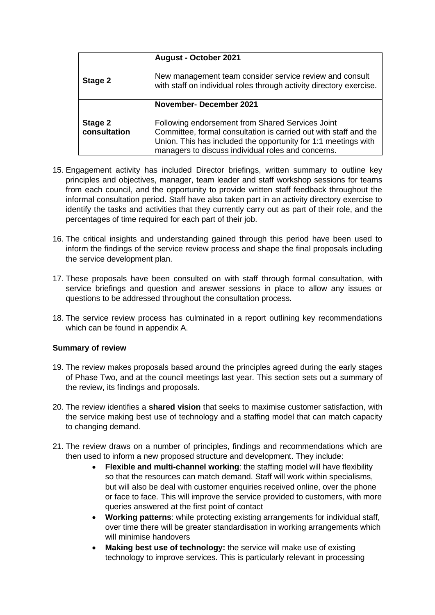|                         | <b>August - October 2021</b>                                                                                                                                                                                                                 |
|-------------------------|----------------------------------------------------------------------------------------------------------------------------------------------------------------------------------------------------------------------------------------------|
| Stage 2                 | New management team consider service review and consult<br>with staff on individual roles through activity directory exercise.                                                                                                               |
|                         | <b>November-December 2021</b>                                                                                                                                                                                                                |
| Stage 2<br>consultation | Following endorsement from Shared Services Joint<br>Committee, formal consultation is carried out with staff and the<br>Union. This has included the opportunity for 1:1 meetings with<br>managers to discuss individual roles and concerns. |

- 15. Engagement activity has included Director briefings, written summary to outline key principles and objectives, manager, team leader and staff workshop sessions for teams from each council, and the opportunity to provide written staff feedback throughout the informal consultation period. Staff have also taken part in an activity directory exercise to identify the tasks and activities that they currently carry out as part of their role, and the percentages of time required for each part of their job.
- 16. The critical insights and understanding gained through this period have been used to inform the findings of the service review process and shape the final proposals including the service development plan.
- 17. These proposals have been consulted on with staff through formal consultation, with service briefings and question and answer sessions in place to allow any issues or questions to be addressed throughout the consultation process.
- 18. The service review process has culminated in a report outlining key recommendations which can be found in appendix A.

# **Summary of review**

- 19. The review makes proposals based around the principles agreed during the early stages of Phase Two, and at the council meetings last year. This section sets out a summary of the review, its findings and proposals.
- 20. The review identifies a **shared vision** that seeks to maximise customer satisfaction, with the service making best use of technology and a staffing model that can match capacity to changing demand.
- 21. The review draws on a number of principles, findings and recommendations which are then used to inform a new proposed structure and development. They include:
	- **Flexible and multi-channel working:** the staffing model will have flexibility so that the resources can match demand. Staff will work within specialisms, but will also be deal with customer enquiries received online, over the phone or face to face. This will improve the service provided to customers, with more queries answered at the first point of contact
	- **Working patterns**: while protecting existing arrangements for individual staff, over time there will be greater standardisation in working arrangements which will minimise handovers
	- **Making best use of technology:** the service will make use of existing technology to improve services. This is particularly relevant in processing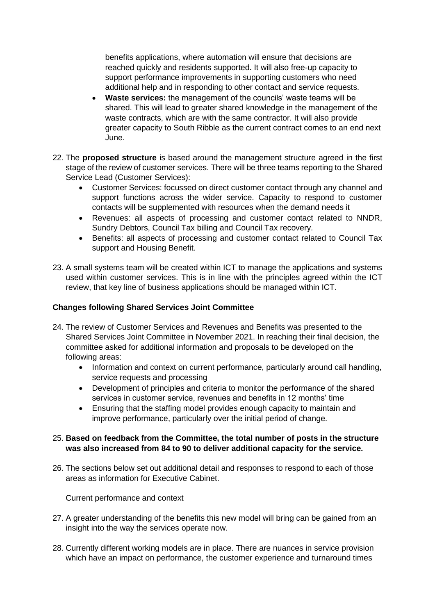benefits applications, where automation will ensure that decisions are reached quickly and residents supported. It will also free-up capacity to support performance improvements in supporting customers who need additional help and in responding to other contact and service requests.

- **Waste services:** the management of the councils' waste teams will be shared. This will lead to greater shared knowledge in the management of the waste contracts, which are with the same contractor. It will also provide greater capacity to South Ribble as the current contract comes to an end next June.
- 22. The **proposed structure** is based around the management structure agreed in the first stage of the review of customer services. There will be three teams reporting to the Shared Service Lead (Customer Services):
	- Customer Services: focussed on direct customer contact through any channel and support functions across the wider service. Capacity to respond to customer contacts will be supplemented with resources when the demand needs it
	- Revenues: all aspects of processing and customer contact related to NNDR, Sundry Debtors, Council Tax billing and Council Tax recovery.
	- Benefits: all aspects of processing and customer contact related to Council Tax support and Housing Benefit.
- 23. A small systems team will be created within ICT to manage the applications and systems used within customer services. This is in line with the principles agreed within the ICT review, that key line of business applications should be managed within ICT.

# **Changes following Shared Services Joint Committee**

- 24. The review of Customer Services and Revenues and Benefits was presented to the Shared Services Joint Committee in November 2021. In reaching their final decision, the committee asked for additional information and proposals to be developed on the following areas:
	- Information and context on current performance, particularly around call handling, service requests and processing
	- Development of principles and criteria to monitor the performance of the shared services in customer service, revenues and benefits in 12 months' time
	- Ensuring that the staffing model provides enough capacity to maintain and improve performance, particularly over the initial period of change.

# 25. **Based on feedback from the Committee, the total number of posts in the structure was also increased from 84 to 90 to deliver additional capacity for the service.**

26. The sections below set out additional detail and responses to respond to each of those areas as information for Executive Cabinet.

# Current performance and context

- 27. A greater understanding of the benefits this new model will bring can be gained from an insight into the way the services operate now.
- 28. Currently different working models are in place. There are nuances in service provision which have an impact on performance, the customer experience and turnaround times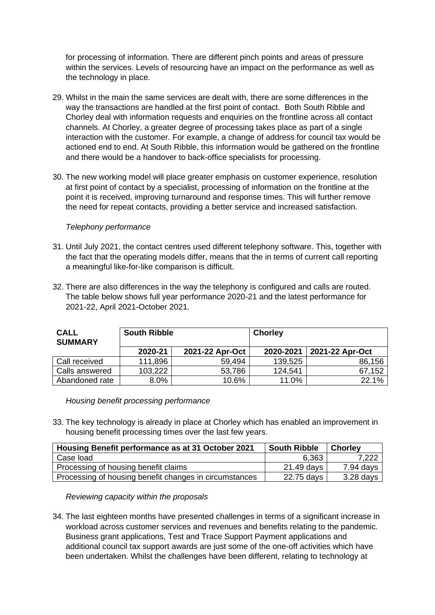for processing of information. There are different pinch points and areas of pressure within the services. Levels of resourcing have an impact on the performance as well as the technology in place.

- 29. Whilst in the main the same services are dealt with, there are some differences in the way the transactions are handled at the first point of contact. Both South Ribble and Chorley deal with information requests and enquiries on the frontline across all contact channels. At Chorley, a greater degree of processing takes place as part of a single interaction with the customer. For example, a change of address for council tax would be actioned end to end. At South Ribble, this information would be gathered on the frontline and there would be a handover to back-office specialists for processing.
- 30. The new working model will place greater emphasis on customer experience, resolution at first point of contact by a specialist, processing of information on the frontline at the point it is received, improving turnaround and response times. This will further remove the need for repeat contacts, providing a better service and increased satisfaction.

# *Telephony performance*

- 31. Until July 2021, the contact centres used different telephony software. This, together with the fact that the operating models differ, means that the in terms of current call reporting a meaningful like-for-like comparison is difficult.
- 32. There are also differences in the way the telephony is configured and calls are routed. The table below shows full year performance 2020-21 and the latest performance for 2021-22, April 2021-October 2021.

| <b>CALL</b><br><b>SUMMARY</b> | <b>South Ribble</b> |                 | <b>Chorley</b> |                 |  |
|-------------------------------|---------------------|-----------------|----------------|-----------------|--|
|                               | 2020-21             | 2021-22 Apr-Oct | 2020-2021      | 2021-22 Apr-Oct |  |
| Call received                 | 111,896             | 59.494          | 139,525        | 86,156          |  |
| Calls answered                | 103,222             | 53,786          | 124,541        | 67,152          |  |
| Abandoned rate                | 8.0%                | 10.6%           | 11.0%          | 22.1%           |  |

*Housing benefit processing performance*

33. The key technology is already in place at Chorley which has enabled an improvement in housing benefit processing times over the last few years.

| Housing Benefit performance as at 31 October 2021      | <b>South Ribble</b> | <b>Chorley</b> |
|--------------------------------------------------------|---------------------|----------------|
| Case load                                              | 6.363               | 7,222          |
| Processing of housing benefit claims                   | 21.49 days          | $7.94$ days    |
| Processing of housing benefit changes in circumstances | 22.75 days          | $3.28$ days    |

*Reviewing capacity within the proposals*

34. The last eighteen months have presented challenges in terms of a significant increase in workload across customer services and revenues and benefits relating to the pandemic. Business grant applications, Test and Trace Support Payment applications and additional council tax support awards are just some of the one-off activities which have been undertaken. Whilst the challenges have been different, relating to technology at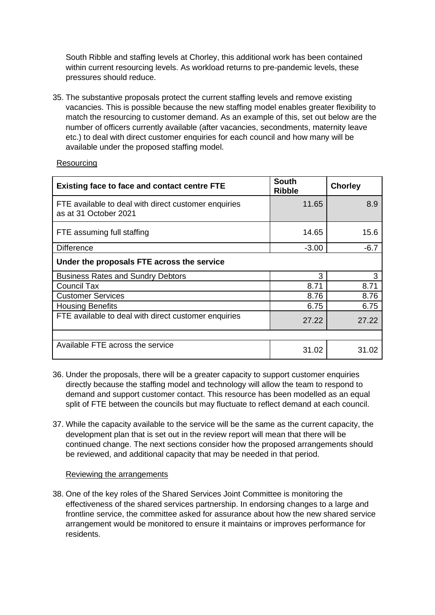South Ribble and staffing levels at Chorley, this additional work has been contained within current resourcing levels. As workload returns to pre-pandemic levels, these pressures should reduce.

35. The substantive proposals protect the current staffing levels and remove existing vacancies. This is possible because the new staffing model enables greater flexibility to match the resourcing to customer demand. As an example of this, set out below are the number of officers currently available (after vacancies, secondments, maternity leave etc.) to deal with direct customer enquiries for each council and how many will be available under the proposed staffing model.

| <b>Existing face to face and contact centre FTE</b>                           | <b>South</b><br><b>Ribble</b> | <b>Chorley</b> |  |  |
|-------------------------------------------------------------------------------|-------------------------------|----------------|--|--|
| FTE available to deal with direct customer enquiries<br>as at 31 October 2021 | 11.65                         | 8.9            |  |  |
| FTE assuming full staffing                                                    | 14.65                         | 15.6           |  |  |
| <b>Difference</b>                                                             | $-3.00$                       | $-6.7$         |  |  |
| Under the proposals FTE across the service                                    |                               |                |  |  |
| <b>Business Rates and Sundry Debtors</b>                                      | 3                             | 3              |  |  |
| <b>Council Tax</b>                                                            | 8.71                          | 8.71           |  |  |
| <b>Customer Services</b>                                                      | 8.76                          | 8.76           |  |  |
| <b>Housing Benefits</b>                                                       | 6.75                          | 6.75           |  |  |
| FTE available to deal with direct customer enquiries                          | 27.22                         | 27.22          |  |  |
|                                                                               |                               |                |  |  |
| Available FTE across the service                                              | 31.02                         | 31.02          |  |  |

#### **Resourcing**

- 36. Under the proposals, there will be a greater capacity to support customer enquiries directly because the staffing model and technology will allow the team to respond to demand and support customer contact. This resource has been modelled as an equal split of FTE between the councils but may fluctuate to reflect demand at each council.
- 37. While the capacity available to the service will be the same as the current capacity, the development plan that is set out in the review report will mean that there will be continued change. The next sections consider how the proposed arrangements should be reviewed, and additional capacity that may be needed in that period.

# Reviewing the arrangements

38. One of the key roles of the Shared Services Joint Committee is monitoring the effectiveness of the shared services partnership. In endorsing changes to a large and frontline service, the committee asked for assurance about how the new shared service arrangement would be monitored to ensure it maintains or improves performance for residents.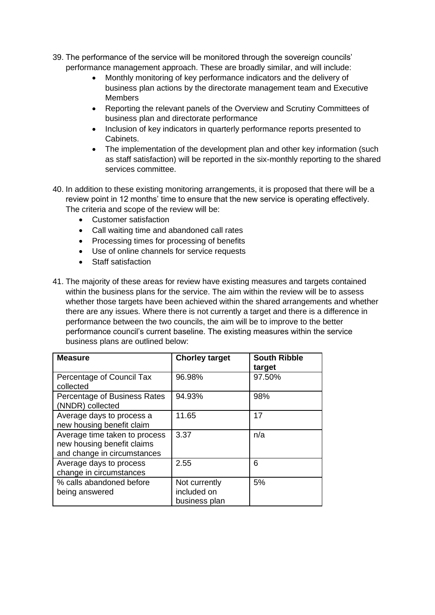- 39. The performance of the service will be monitored through the sovereign councils' performance management approach. These are broadly similar, and will include:
	- Monthly monitoring of key performance indicators and the delivery of business plan actions by the directorate management team and Executive Members
	- Reporting the relevant panels of the Overview and Scrutiny Committees of business plan and directorate performance
	- Inclusion of key indicators in quarterly performance reports presented to Cabinets.
	- The implementation of the development plan and other key information (such as staff satisfaction) will be reported in the six-monthly reporting to the shared services committee.
- 40. In addition to these existing monitoring arrangements, it is proposed that there will be a review point in 12 months' time to ensure that the new service is operating effectively. The criteria and scope of the review will be:
	- Customer satisfaction
	- Call waiting time and abandoned call rates
	- Processing times for processing of benefits
	- Use of online channels for service requests
	- Staff satisfaction
- 41. The majority of these areas for review have existing measures and targets contained within the business plans for the service. The aim within the review will be to assess whether those targets have been achieved within the shared arrangements and whether there are any issues. Where there is not currently a target and there is a difference in performance between the two councils, the aim will be to improve to the better performance council's current baseline. The existing measures within the service business plans are outlined below:

| <b>Measure</b>                                                                             | <b>Chorley target</b>                         | <b>South Ribble</b><br>target |
|--------------------------------------------------------------------------------------------|-----------------------------------------------|-------------------------------|
| Percentage of Council Tax<br>collected                                                     | 96.98%                                        | 97.50%                        |
| Percentage of Business Rates<br>(NNDR) collected                                           | 94.93%                                        | 98%                           |
| Average days to process a<br>new housing benefit claim                                     | 11.65                                         | 17                            |
| Average time taken to process<br>new housing benefit claims<br>and change in circumstances | 3.37                                          | n/a                           |
| Average days to process<br>change in circumstances                                         | 2.55                                          | 6                             |
| % calls abandoned before<br>being answered                                                 | Not currently<br>included on<br>business plan | 5%                            |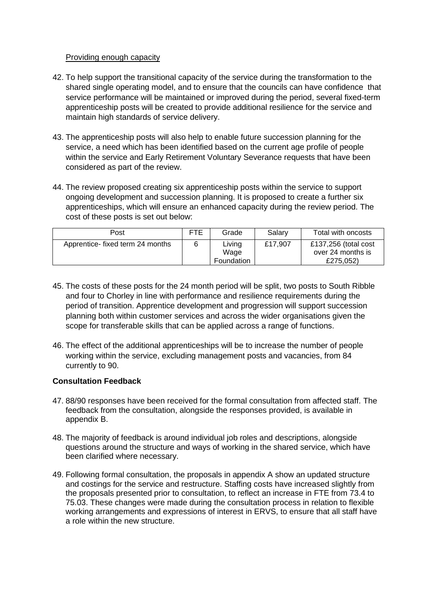## Providing enough capacity

- 42. To help support the transitional capacity of the service during the transformation to the shared single operating model, and to ensure that the councils can have confidence that service performance will be maintained or improved during the period, several fixed-term apprenticeship posts will be created to provide additional resilience for the service and maintain high standards of service delivery.
- 43. The apprenticeship posts will also help to enable future succession planning for the service, a need which has been identified based on the current age profile of people within the service and Early Retirement Voluntary Severance requests that have been considered as part of the review.
- 44. The review proposed creating six apprenticeship posts within the service to support ongoing development and succession planning. It is proposed to create a further six apprenticeships, which will ensure an enhanced capacity during the review period. The cost of these posts is set out below:

| Post                             | FTE | Grade                        | Salarv  | Total with oncosts                                     |
|----------------------------------|-----|------------------------------|---------|--------------------------------------------------------|
| Apprentice- fixed term 24 months | 6   | Living<br>Wage<br>Foundation | £17.907 | £137,256 (total cost<br>over 24 months is<br>£275.052) |

- 45. The costs of these posts for the 24 month period will be split, two posts to South Ribble and four to Chorley in line with performance and resilience requirements during the period of transition. Apprentice development and progression will support succession planning both within customer services and across the wider organisations given the scope for transferable skills that can be applied across a range of functions.
- 46. The effect of the additional apprenticeships will be to increase the number of people working within the service, excluding management posts and vacancies, from 84 currently to 90.

# **Consultation Feedback**

- 47. 88/90 responses have been received for the formal consultation from affected staff. The feedback from the consultation, alongside the responses provided, is available in appendix B.
- 48. The majority of feedback is around individual job roles and descriptions, alongside questions around the structure and ways of working in the shared service, which have been clarified where necessary.
- 49. Following formal consultation, the proposals in appendix A show an updated structure and costings for the service and restructure. Staffing costs have increased slightly from the proposals presented prior to consultation, to reflect an increase in FTE from 73.4 to 75.03. These changes were made during the consultation process in relation to flexible working arrangements and expressions of interest in ERVS, to ensure that all staff have a role within the new structure.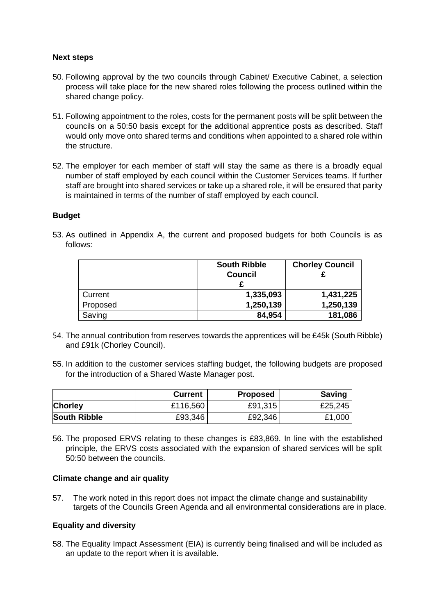#### **Next steps**

- 50. Following approval by the two councils through Cabinet/ Executive Cabinet, a selection process will take place for the new shared roles following the process outlined within the shared change policy.
- 51. Following appointment to the roles, costs for the permanent posts will be split between the councils on a 50:50 basis except for the additional apprentice posts as described. Staff would only move onto shared terms and conditions when appointed to a shared role within the structure.
- 52. The employer for each member of staff will stay the same as there is a broadly equal number of staff employed by each council within the Customer Services teams. If further staff are brought into shared services or take up a shared role, it will be ensured that parity is maintained in terms of the number of staff employed by each council.

#### **Budget**

53. As outlined in Appendix A, the current and proposed budgets for both Councils is as follows:

|          | <b>South Ribble</b><br><b>Council</b> | <b>Chorley Council</b> |
|----------|---------------------------------------|------------------------|
| Current  | 1,335,093                             | 1,431,225              |
| Proposed | 1,250,139                             | 1,250,139              |
| Saving   | 84,954                                | 181,086                |

- 54. The annual contribution from reserves towards the apprentices will be £45k (South Ribble) and £91k (Chorley Council).
- 55. In addition to the customer services staffing budget, the following budgets are proposed for the introduction of a Shared Waste Manager post.

|                     | <b>Current</b> | <b>Proposed</b> | <b>Saving</b> |
|---------------------|----------------|-----------------|---------------|
| <b>Chorley</b>      | £116,560       | £91,315         | £25,245       |
| <b>South Ribble</b> | £93,346        | £92,346         | £1,000        |

56. The proposed ERVS relating to these changes is £83,869. In line with the established principle, the ERVS costs associated with the expansion of shared services will be split 50:50 between the councils.

#### **Climate change and air quality**

57. The work noted in this report does not impact the climate change and sustainability targets of the Councils Green Agenda and all environmental considerations are in place.

#### **Equality and diversity**

58. The Equality Impact Assessment (EIA) is currently being finalised and will be included as an update to the report when it is available.